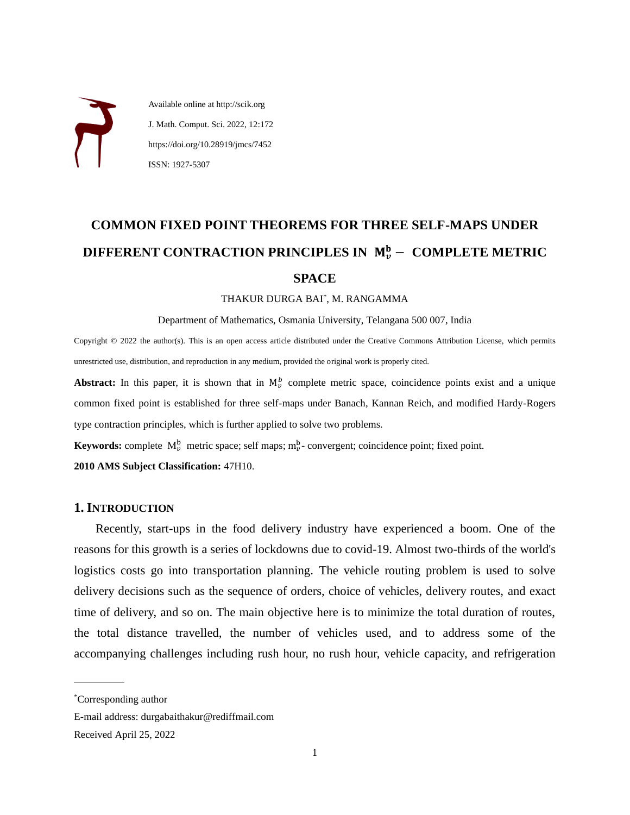Available online at http://scik.org J. Math. Comput. Sci. 2022, 12:172 https://doi.org/10.28919/jmcs/7452 ISSN: 1927-5307

# **COMMON FIXED POINT THEOREMS FOR THREE SELF-MAPS UNDER DIFFERENT CONTRACTION PRINCIPLES IN**  − **COMPLETE METRIC SPACE**

#### THAKUR DURGA BAI\* , M. RANGAMMA

Department of Mathematics, Osmania University, Telangana 500 007, India

Copyright © 2022 the author(s). This is an open access article distributed under the Creative Commons Attribution License, which permits unrestricted use, distribution, and reproduction in any medium, provided the original work is properly cited.

**Abstract:** In this paper, it is shown that in  $M_{\nu}^{b}$  complete metric space, coincidence points exist and a unique common fixed point is established for three self-maps under Banach, Kannan Reich, and modified Hardy-Rogers type contraction principles, which is further applied to solve two problems.

**Keywords:** complete  $M_{\nu}^{b}$  metric space; self maps;  $m_{\nu}^{b}$ - convergent; coincidence point; fixed point.

**2010 AMS Subject Classification:** 47H10.

#### **1. INTRODUCTION**

Recently, start-ups in the food delivery industry have experienced a boom. One of the reasons for this growth is a series of lockdowns due to covid-19. Almost two-thirds of the world's logistics costs go into transportation planning. The vehicle routing problem is used to solve delivery decisions such as the sequence of orders, choice of vehicles, delivery routes, and exact time of delivery, and so on. The main objective here is to minimize the total duration of routes, the total distance travelled, the number of vehicles used, and to address some of the accompanying challenges including rush hour, no rush hour, vehicle capacity, and refrigeration

 $\overline{a}$ 

<sup>\*</sup>Corresponding author

E-mail address: durgabaithakur@rediffmail.com

Received April 25, 2022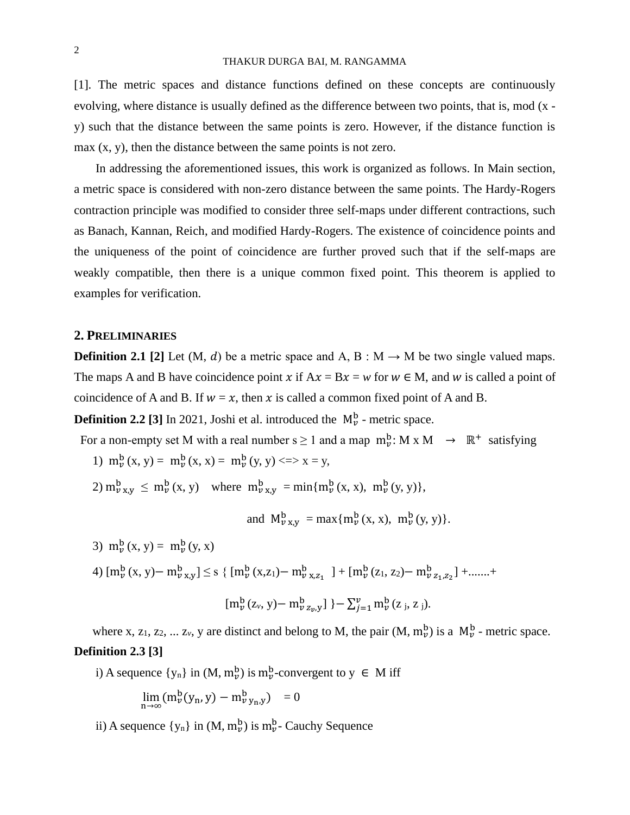#### THAKUR DURGA BAI, M. RANGAMMA

[1]. The metric spaces and distance functions defined on these concepts are continuously evolving, where distance is usually defined as the difference between two points, that is, mod (x y) such that the distance between the same points is zero. However, if the distance function is max (x, y), then the distance between the same points is not zero.

In addressing the aforementioned issues, this work is organized as follows. In Main section, a metric space is considered with non-zero distance between the same points. The Hardy-Rogers contraction principle was modified to consider three self-maps under different contractions, such as Banach, Kannan, Reich, and modified Hardy-Rogers. The existence of coincidence points and the uniqueness of the point of coincidence are further proved such that if the self-maps are weakly compatible, then there is a unique common fixed point. This theorem is applied to examples for verification.

## **2. PRELIMINARIES**

**Definition 2.1** [2] Let (M, d) be a metric space and A, B :  $M \rightarrow M$  be two single valued maps. The maps A and B have coincidence point x if  $Ax = Bx = w$  for  $w \in M$ , and w is called a point of coincidence of A and B. If  $w = x$ , then x is called a common fixed point of A and B.

**Definition 2.2** [3] In 2021, Joshi et al. introduced the  $M_{\nu}^{\rm b}$  - metric space.

For a non-empty set M with a real number  $s \ge 1$  and a map  $m_v^b$ : M x M  $\rightarrow \mathbb{R}^+$  satisfying

- 1)  $m_{\nu}^{b}(x, y) = m_{\nu}^{b}(x, x) = m_{\nu}^{b}(y, y) \ll y \gg y$
- 2)  $m_{v}^{b}$   $_{x,y} \le m_{v}^{b}$  (x, y) where  $m_{v}^{b}$   $_{x,y}$  = min{ $m_{v}^{b}$  (x, x),  $m_{v}^{b}$  (y, y)},

and 
$$
M_{\nu}^{b}_{x,y} = \max \{m_{\nu}^{b}(x, x), m_{\nu}^{b}(y, y)\}.
$$

- 3)  $m_{v}^{b}(x, y) = m_{v}^{b}(y, x)$
- 4)  $[m_{\nu}^{b}(x, y)-m_{\nu}^{b}_{x,y}] \leq s \{ [m_{\nu}^{b}(x, z_{1})-m_{\nu}^{b}_{x,z_{1}}] + [m_{\nu}^{b}(z_{1}, z_{2})-m_{\nu}^{b}_{z_{1},z_{2}}] + \dots +$

$$
[m_{\nu}^{b}(z_{\nu}, y)-m_{\nu}^{b} z_{\nu}, y] \} - \sum_{j=1}^{\nu} m_{\nu}^{b}(z_{j}, z_{j}).
$$

where x, z<sub>1</sub>, z<sub>2</sub>, ... z<sub>*v*</sub>, y are distinct and belong to M, the pair  $(M, m_{\nu}^{b})$  is a  $M_{\nu}^{b}$  - metric space. **Definition 2.3 [3]** 

i) A sequence  $\{y_n\}$  in  $(M, m_v^b)$  is  $m_v^b$ -convergent to  $y \in M$  iff

$$
\lim_{n\to\infty}(m^b_\nu(y_n,y)-m^b_{\nu\,y_n,y})=0
$$

ii) A sequence  $\{y_n\}$  in  $(M, m_v^b)$  is  $m_v^b$ - Cauchy Sequence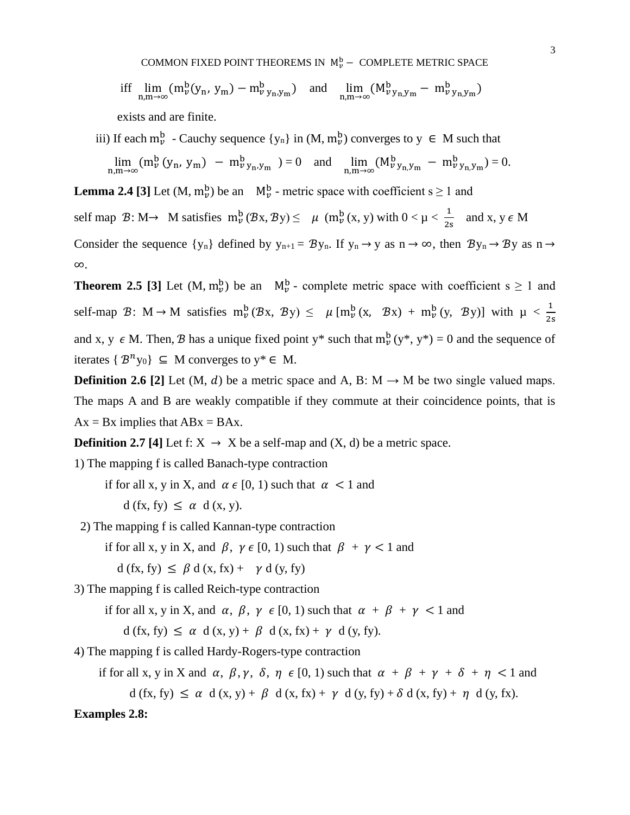COMMON FIXED POINT THEOREMS IN  $\mathbb{M}_v^{\text{b}}$  – COMPLETE METRIC SPACE

$$
\text{iff} \quad \lim_{n,m \to \infty} (m_{\nu}^b(y_n, y_m) - m_{\nu}^b y_n, y_m) \quad \text{and} \quad \lim_{n,m \to \infty} (M_{\nu}^b y_n, y_m - m_{\nu}^b y_n, y_m)
$$

exists and are finite.

iii) If each  $m_{\nu}^{b}$  - Cauchy sequence  $\{y_{n}\}\$ in  $(M, m_{\nu}^{b})$  converges to  $y \in M$  such that  $\lim_{n,m \to \infty} (m_{\nu}^{b} (y_{n}, y_{m}) - m_{\nu}^{b} y_{n}, y_{m}) = 0$  and  $\lim_{n,m \to \infty} (M_{\nu}^{b} y_{n}, y_{m}) - m_{\nu}^{b} y_{n}, y_{m}) = 0.$ 

**Lemma 2.4** [3] Let  $(M, m_v^b)$  be an  $M_v^b$  - metric space with coefficient s  $\geq 1$  and

self map  $\mathcal{B}: M \rightarrow M$  satisfies  $m_{\nu}^{b}(\mathcal{B}x, \mathcal{B}y) \leq \mu (m_{\nu}^{b}(x, y))$  with  $0 < \mu < \frac{1}{2}$  $\frac{1}{2s}$  and x, y  $\epsilon$  M

Consider the sequence  $\{y_n\}$  defined by  $y_{n+1} = By_n$ . If  $y_n \to y$  as  $n \to \infty$ , then  $By_n \to By$  as  $n \to \infty$ ∞.

**Theorem 2.5** [3] Let  $(M, m_v^b)$  be an  $M_v^b$  - complete metric space with coefficient s  $\geq 1$  and self-map  $\mathcal{B}: M \to M$  satisfies  $m_{\nu}^{b}(\mathcal{B}x, \mathcal{B}y) \leq \mu [m_{\nu}^{b}(x, \mathcal{B}x) + m_{\nu}^{b}(y, \mathcal{B}y)]$  with  $\mu < \frac{1}{2s}$ and x, y  $\epsilon$  M. Then, B has a unique fixed point y\* such that  $m_{\nu}^{b}(y^*, y^*) = 0$  and the sequence of iterates  $\{B^n y_0\} \subseteq M$  converges to  $y^* \in M$ .

**Definition 2.6** [2] Let (M, d) be a metric space and A, B:  $M \rightarrow M$  be two single valued maps. The maps A and B are weakly compatible if they commute at their coincidence points, that is  $Ax = Bx$  implies that  $ABx = BAx$ .

**Definition 2.7 [4]** Let f:  $X \rightarrow X$  be a self-map and  $(X, d)$  be a metric space.

1) The mapping f is called Banach-type contraction

if for all x, y in X, and  $\alpha \in [0, 1)$  such that  $\alpha < 1$  and

 $d(fx, fy) \leq \alpha d(x, y)$ .

2) The mapping f is called Kannan-type contraction

if for all x, y in X, and  $\beta$ ,  $\gamma \in [0, 1)$  such that  $\beta + \gamma < 1$  and

 $d(fx, fy) \leq \beta d(x, fx) + \gamma d(y, fy)$ 

3) The mapping f is called Reich-type contraction

if for all x, y in X, and  $\alpha$ ,  $\beta$ ,  $\gamma \in [0, 1)$  such that  $\alpha + \beta + \gamma < 1$  and

 $d(fx, fy) \leq \alpha d(x, y) + \beta d(x, fx) + \gamma d(y, fy).$ 

4) The mapping f is called Hardy-Rogers-type contraction

if for all x, y in X and  $\alpha$ ,  $\beta$ ,  $\gamma$ ,  $\delta$ ,  $\eta \in [0, 1)$  such that  $\alpha + \beta + \gamma + \delta + \eta < 1$  and

 $d(fx, fy) \leq \alpha d(x, y) + \beta d(x, fx) + \gamma d(y, fy) + \delta d(x, fy) + \eta d(y, fx).$ 

#### **Examples 2.8:**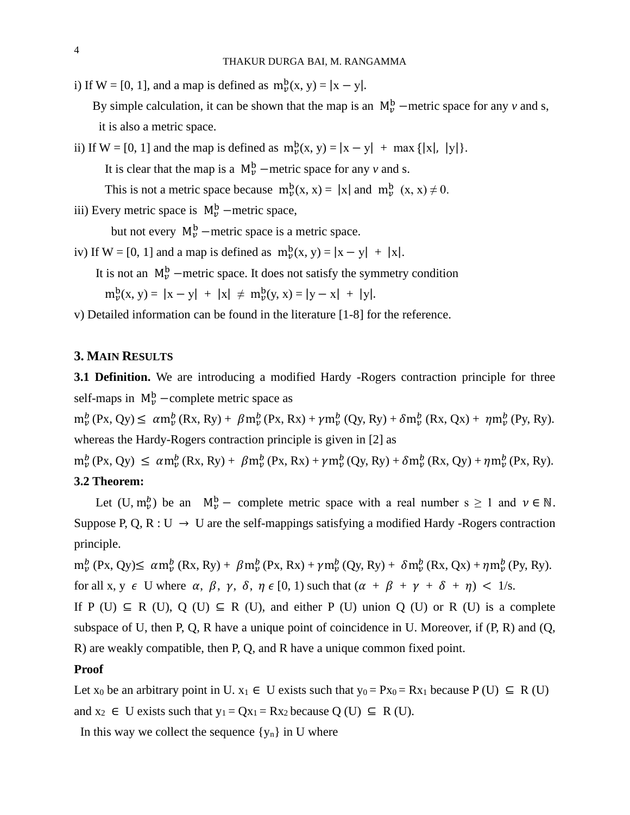i) If W = [0, 1], and a map is defined as  $m_{\nu}^{b}(x, y) = |x - y|$ .

By simple calculation, it can be shown that the map is an  $M_{\nu}^{b}$  –metric space for any *v* and *s*, it is also a metric space.

ii) If  $W = [0, 1]$  and the map is defined as  $m_{\nu}^{b}(x, y) = |x - y| + \max \{|x|, |y|\}.$ It is clear that the map is a  $M_{\nu}^{b}$  –metric space for any  $\nu$  and s. This is not a metric space because  $m_{\nu}^{b}(x, x) = |x|$  and  $m_{\nu}^{b}(x, x) \neq 0$ .

iii) Every metric space is  $M_{\nu}^{b}$  –metric space,

but not every  $M_{\nu}^{b}$  –metric space is a metric space.

iv) If  $W = [0, 1]$  and a map is defined as  $m_{\nu}^{b}(x, y) = |x - y| + |x|$ .

It is not an  $M_{\nu}^{b}$  –metric space. It does not satisfy the symmetry condition

 $m_{\nu}^{b}(x, y) = |x - y| + |x| \neq m_{\nu}^{b}(y, x) = |y - x| + |y|.$ 

v) Detailed information can be found in the literature [1-8] for the reference.

### **3. MAIN RESULTS**

**3.1 Definition.** We are introducing a modified Hardy -Rogers contraction principle for three self-maps in  $M_{\nu}^{b}$  -complete metric space as

 $m_{\nu}^{b}$  (Px, Qy)  $\leq \alpha m_{\nu}^{b}$  (Rx, Ry) +  $\beta m_{\nu}^{b}$  (Px, Rx) +  $\gamma m_{\nu}^{b}$  (Qy, Ry) +  $\delta m_{\nu}^{b}$  (Rx, Qx) +  $\eta m_{\nu}^{b}$  (Py, Ry). whereas the Hardy-Rogers contraction principle is given in [2] as

 $m_{\nu}^{b}$  (Px, Qy)  $\leq \alpha m_{\nu}^{b}$  (Rx, Ry) +  $\beta m_{\nu}^{b}$  (Px, Rx) +  $\gamma m_{\nu}^{b}$  (Qy, Ry) +  $\delta m_{\nu}^{b}$  (Rx, Qy) +  $\eta m_{\nu}^{b}$  (Px, Ry). **3.2 Theorem:**

Let  $(U, m_v^b)$  be an  $M_v^b$  – complete metric space with a real number  $s \ge 1$  and  $v \in \mathbb{N}$ . Suppose P, Q, R : U  $\rightarrow$  U are the self-mappings satisfying a modified Hardy -Rogers contraction principle.

 $m_{\nu}^{b}$  (Px, Qy) $\leq \alpha m_{\nu}^{b}$  (Rx, Ry) +  $\beta m_{\nu}^{b}$  (Px, Rx) +  $\gamma m_{\nu}^{b}$  (Qy, Ry) +  $\delta m_{\nu}^{b}$  (Rx, Qx) +  $\eta m_{\nu}^{b}$  (Py, Ry). for all x, y  $\epsilon$  U where  $\alpha$ ,  $\beta$ ,  $\gamma$ ,  $\delta$ ,  $\eta \in [0, 1)$  such that  $(\alpha + \beta + \gamma + \delta + \eta) < 1$ /s.

If P (U)  $\subseteq$  R (U), Q (U)  $\subseteq$  R (U), and either P (U) union Q (U) or R (U) is a complete subspace of U, then P, Q, R have a unique point of coincidence in U. Moreover, if  $(P, R)$  and  $(Q, \theta)$ R) are weakly compatible, then P, Q, and R have a unique common fixed point.

#### **Proof**

Let  $x_0$  be an arbitrary point in U.  $x_1 \in U$  exists such that  $y_0 = Px_0 = Rx_1$  because  $P(U) \subseteq R(U)$ and  $x_2 \in U$  exists such that  $y_1 = Qx_1 = Rx_2$  because  $Q(U) \subseteq R(U)$ .

In this way we collect the sequence  $\{y_n\}$  in U where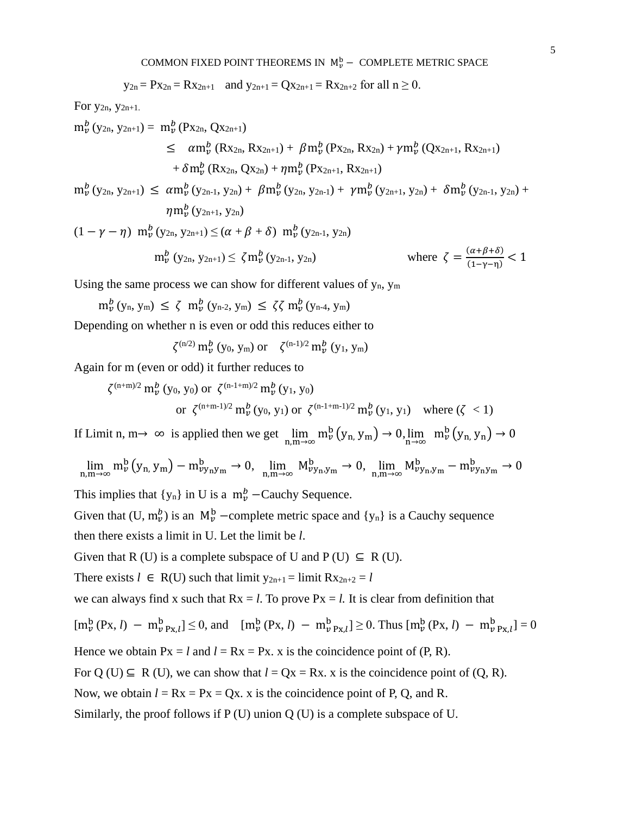$$
y_{2n} = Px_{2n} = Rx_{2n+1}
$$
 and  $y_{2n+1} = Qx_{2n+1} = Rx_{2n+2}$  for all  $n \ge 0$ .

For y2n, y2n+1.

$$
m_{\nu}^{b} (y_{2n}, y_{2n+1}) = m_{\nu}^{b} (Px_{2n}, Qx_{2n+1})
$$
  
\n
$$
\leq \alpha m_{\nu}^{b} (Rx_{2n}, Rx_{2n+1}) + \beta m_{\nu}^{b} (Px_{2n}, Rx_{2n}) + \gamma m_{\nu}^{b} (Qx_{2n+1}, Rx_{2n+1})
$$
  
\n
$$
+ \delta m_{\nu}^{b} (Rx_{2n}, Qx_{2n}) + \eta m_{\nu}^{b} (Px_{2n+1}, Rx_{2n+1})
$$
  
\n
$$
m_{\nu}^{b} (y_{2n}, y_{2n+1}) \leq \alpha m_{\nu}^{b} (y_{2n+1}, y_{2n}) + \beta m_{\nu}^{b} (y_{2n+1}, y_{2n}) + \gamma m_{\nu}^{b} (y_{2n+1}, y_{2n}) + \delta m_{\nu}^{b} (y_{2n+1}, y_{2n})
$$

$$
m_{\nu}^{b}(y_{2n}, y_{2n+1}) \leq \alpha m_{\nu}^{b}(y_{2n-1}, y_{2n}) + \beta m_{\nu}^{b}(y_{2n}, y_{2n-1}) + \gamma m_{\nu}^{b}(y_{2n+1}, y_{2n}) + \delta m_{\nu}^{b}(y_{2n-1}, y_{2n}) + \eta m_{\nu}^{b}(y_{2n+1}, y_{2n})
$$

$$
(1 - \gamma - \eta) \, m_{\nu}^{b} \, (y_{2n}, y_{2n+1}) \leq (\alpha + \beta + \delta) \, m_{\nu}^{b} \, (y_{2n-1}, y_{2n})
$$
\n
$$
m_{\nu}^{b} \, (y_{2n}, y_{2n+1}) \leq \zeta m_{\nu}^{b} \, (y_{2n-1}, y_{2n})
$$
\nwhere  $\zeta = \frac{(\alpha + \beta + \delta)}{(1 - \gamma - \eta)} < 1$ 

Using the same process we can show for different values of  $y_n$ ,  $y_m$ 

$$
m_{\nu}^{b}\left(y_{n}, \, y_{m}\right) \,\leq\, \zeta\,\ m_{\nu}^{b}\left(y_{n\text{-}2}, \, y_{m}\right) \,\leq\, \zeta\zeta\, m_{\nu}^{b}\left(y_{n\text{-}4}, \, y_{m}\right)
$$

Depending on whether n is even or odd this reduces either to

$$
\zeta^{(n/2)} m_{\nu}^{b} (y_0, y_m)
$$
 or  $\zeta^{(n-1)/2} m_{\nu}^{b} (y_1, y_m)$ 

Again for m (even or odd) it further reduces to

$$
\zeta^{(n+m)/2} \, m_{\nu}^{b} \, (y_0, y_0) \text{ or } \zeta^{(n-1+m)/2} \, m_{\nu}^{b} \, (y_1, y_0)
$$
\n
$$
\text{or } \zeta^{(n+m-1)/2} \, m_{\nu}^{b} \, (y_0, y_1) \text{ or } \zeta^{(n-1+m-1)/2} \, m_{\nu}^{b} \, (y_1, y_1) \quad \text{where } (\zeta < 1)
$$

If Limit n, m→ ∞ is applied then we get  $\lim_{n,m\to\infty} m_{\nu}^{b}(y_{n,} y_{m}) \to 0$ ,  $\lim_{n\to\infty} m_{\nu}^{b}(y_{n,} y_{n}) \to 0$ 

$$
\lim_{n,m\to\infty}m^b_\nu\left(y_{n,}\,y_m\right)-m^b_{\nu y_n y_m}\to 0,\ \, \lim_{n,m\to\infty}M^b_{\nu y_n,y_m}\to 0,\ \, \lim_{n,m\to\infty}M^b_{\nu y_n,y_m}-m^b_{\nu y_n y_m}\to 0
$$

This implies that  $\{y_n\}$  in U is a  $m_v^b$  –Cauchy Sequence.

Given that  $(U, m_v^b)$  is an  $M_v^b$  –complete metric space and  $\{y_n\}$  is a Cauchy sequence then there exists a limit in U. Let the limit be *l*.

Given that R (U) is a complete subspace of U and  $P(U) \subseteq R(U)$ .

There exists  $l \in R(U)$  such that limit  $y_{2n+1} = \lim_{h \to 2} Rx_{2n+2} = l$ 

we can always find x such that  $Rx = l$ . To prove  $Px = l$ . It is clear from definition that

$$
[m_{\nu}^{b}(Px, l) - m_{\nu}^{b} p_{x,l}] \le 0, \text{ and } [m_{\nu}^{b}(Px, l) - m_{\nu}^{b} p_{x,l}] \ge 0. \text{ Thus } [m_{\nu}^{b}(Px, l) - m_{\nu}^{b} p_{x,l}] = 0
$$

Hence we obtain  $Px = l$  and  $l = Rx = Px$ , x is the coincidence point of  $(P, R)$ .

For Q (U)  $\subseteq$  R (U), we can show that  $l = Qx = Rx$ . x is the coincidence point of  $(Q, R)$ .

Now, we obtain  $l = Rx = Px = Qx$ . x is the coincidence point of P, Q, and R.

Similarly, the proof follows if P (U) union Q (U) is a complete subspace of U.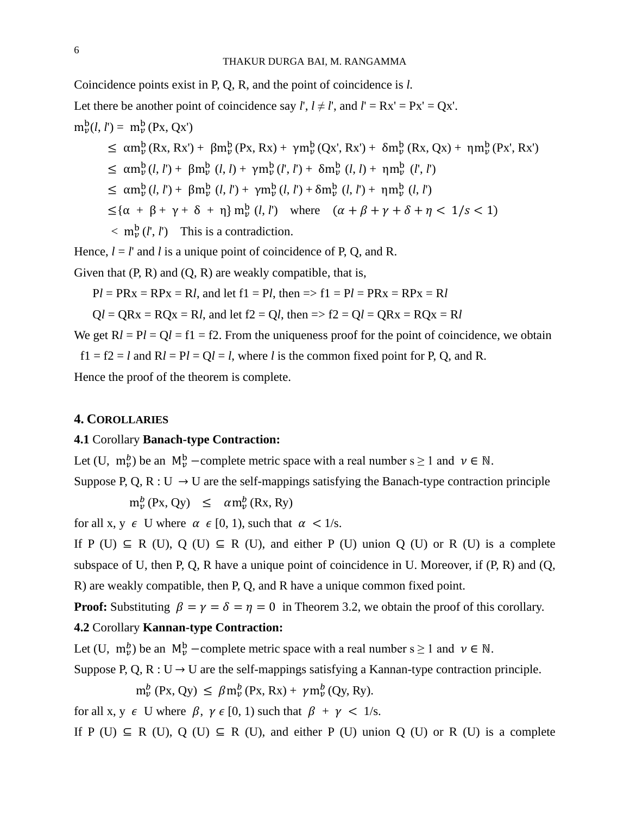Coincidence points exist in P, Q, R, and the point of coincidence is *l.* Let there be another point of coincidence say *l'*,  $l \neq l'$ , and  $l' = Rx' = Px' = Ox'$ .  $m_{\nu}^{b}(l, l') = m_{\nu}^{b}(Px, Qx')$  $\leq \alpha m_{\nu}^{b}(Rx, Rx') + \beta m_{\nu}^{b}(Px, Rx) + \gamma m_{\nu}^{b}(Qx', Rx') + \delta m_{\nu}^{b}(Rx, Qx) + \eta m_{\nu}^{b}(Px', Rx')$  $\leq \alpha m_{\nu}^{b}(l, l') + \beta m_{\nu}^{b}(l, l) + \gamma m_{\nu}^{b}(l', l') + \delta m_{\nu}^{b}(l, l) + \eta m_{\nu}^{b}(l', l')$  $\leq \alpha m_{\nu}^{b}(l, l') + \beta m_{\nu}^{b}(l, l') + \gamma m_{\nu}^{b}(l, l') + \delta m_{\nu}^{b}(l, l') + \eta m_{\nu}^{b}(l, l')$  $\leq {\alpha + \beta + \gamma + \delta + \eta} \text{ m}_\nu^b(l, l')$  where  $(\alpha + \beta + \gamma + \delta + \eta < 1/s < 1)$  $\langle m_{\nu}^{\rm b}(l',l') \rangle$  This is a contradiction.

Hence,  $l = l'$  and *l* is a unique point of coincidence of P, Q, and R.

Given that  $(P, R)$  and  $(Q, R)$  are weakly compatible, that is,

 $Pl = PRx = RPx = Rl$ , and let  $f1 = Pl$ , then  $\Rightarrow f1 = Pl = PRx = RPx = RI$ 

 $Q_l = QRx = ROx = Rl$ , and let  $f2 = Ql$ , then  $\Rightarrow f2 = Ql = ORx = ROx = Rl$ 

We get  $Rl = Pl = Ql = fl = f2$ . From the uniqueness proof for the point of coincidence, we obtain

 $f1 = f2 = l$  and  $Rl = Pl = Ql = l$ , where *l* is the common fixed point for P, O, and R.

Hence the proof of the theorem is complete.

## **4. COROLLARIES**

## **4.1** Corollary **Banach-type Contraction:**

Let (U,  $m_v^b$ ) be an  $M_v^b$  –complete metric space with a real number s  $\geq 1$  and  $v \in \mathbb{N}$ . Suppose P, Q, R : U  $\rightarrow$  U are the self-mappings satisfying the Banach-type contraction principle

 $m_{\nu}^{b}$  (Px, Qy)  $\leq \alpha m_{\nu}^{b}$  (Rx, Ry)

for all x, y  $\epsilon$  U where  $\alpha \in [0, 1)$ , such that  $\alpha < 1/s$ .

If P (U)  $\subseteq$  R (U), Q (U)  $\subseteq$  R (U), and either P (U) union Q (U) or R (U) is a complete subspace of U, then P, Q, R have a unique point of coincidence in U. Moreover, if  $(P, R)$  and  $(Q, \theta)$ R) are weakly compatible, then P, Q, and R have a unique common fixed point.

**Proof:** Substituting  $\beta = \gamma = \delta = \eta = 0$  in Theorem 3.2, we obtain the proof of this corollary.

# **4.2** Corollary **Kannan-type Contraction:**

Let (U,  $m_{\nu}^{b}$ ) be an  $M_{\nu}^{b}$  -complete metric space with a real number s  $\geq 1$  and  $\nu \in \mathbb{N}$ .

Suppose P, Q, R : U  $\rightarrow$  U are the self-mappings satisfying a Kannan-type contraction principle.

 $m_v^b$  (Px, Qy)  $\leq \beta m_v^b$  (Px, Rx) +  $\gamma m_v^b$  (Qy, Ry).

for all x,  $y \in U$  where  $\beta$ ,  $\gamma \in [0, 1)$  such that  $\beta + \gamma < 1/s$ .

If P (U)  $\subseteq$  R (U), Q (U)  $\subseteq$  R (U), and either P (U) union Q (U) or R (U) is a complete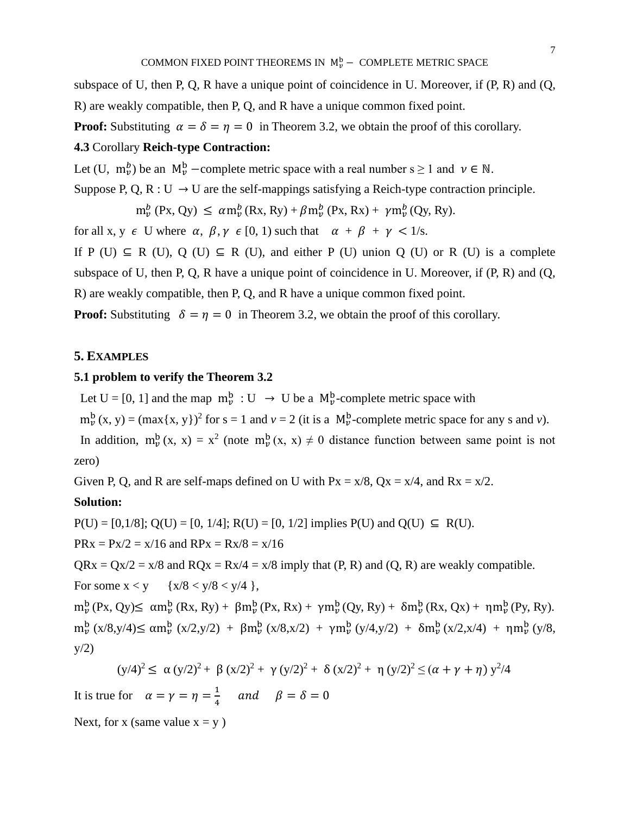subspace of U, then P, Q, R have a unique point of coincidence in U. Moreover, if (P, R) and (Q, R) are weakly compatible, then P, Q, and R have a unique common fixed point.

**Proof:** Substituting  $\alpha = \delta = \eta = 0$  in Theorem 3.2, we obtain the proof of this corollary.

# **4.3** Corollary **Reich-type Contraction:**

Let (U,  $m_{\nu}^{b}$ ) be an  $M_{\nu}^{b}$  –complete metric space with a real number s  $\geq 1$  and  $\nu \in \mathbb{N}$ .

Suppose P, Q, R : U  $\rightarrow$  U are the self-mappings satisfying a Reich-type contraction principle.

 $m_{\nu}^{b}$  (Px, Qy)  $\leq \alpha m_{\nu}^{b}$  (Rx, Ry) +  $\beta m_{\nu}^{b}$  (Px, Rx) +  $\gamma m_{\nu}^{b}$  (Qy, Ry).

for all x, y  $\epsilon$  U where  $\alpha$ ,  $\beta$ ,  $\gamma$   $\epsilon$  [0, 1) such that  $\alpha + \beta + \gamma < 1/s$ .

If P (U)  $\subseteq$  R (U), Q (U)  $\subseteq$  R (U), and either P (U) union Q (U) or R (U) is a complete subspace of U, then P, Q, R have a unique point of coincidence in U. Moreover, if (P, R) and (Q, R) are weakly compatible, then P, Q, and R have a unique common fixed point.

**Proof:** Substituting  $\delta = \eta = 0$  in Theorem 3.2, we obtain the proof of this corollary.

#### **5. EXAMPLES**

# **5.1 problem to verify the Theorem 3.2**

Let U = [0, 1] and the map  $m_{\nu}^{b}$  : U  $\rightarrow$  U be a  $M_{\nu}^{b}$ -complete metric space with

 $m_{\nu}^{b}(x, y) = (\max\{x, y\})^{2}$  for  $s = 1$  and  $\nu = 2$  (it is a  $M_{\nu}^{b}$ -complete metric space for any s and  $\nu$ ).

In addition,  $m_{\nu}^{b}(x, x) = x^{2}$  (note  $m_{\nu}^{b}(x, x) \neq 0$  distance function between same point is not zero)

Given P, Q, and R are self-maps defined on U with  $Px = x/8$ ,  $Qx = x/4$ , and  $Rx = x/2$ .

#### **Solution:**

 $P(U) = [0, 1/8]$ ;  $Q(U) = [0, 1/4]$ ;  $R(U) = [0, 1/2]$  implies  $P(U)$  and  $Q(U) \subseteq R(U)$ .

 $PRx = Px/2 = x/16$  and  $RPx = Rx/8 = x/16$ 

 $QRx = Qx/2 = x/8$  and  $RQx = Rx/4 = x/8$  imply that  $(P, R)$  and  $(Q, R)$  are weakly compatible. For some  $x < y$  { $x/8 < y/8 < y/4$  },

 $m_{\nu}^{\mathrm{b}}$  (Px, Qy) $\leq \alpha m_{\nu}^{\mathrm{b}}$  (Rx, Ry) +  $\beta m_{\nu}^{\mathrm{b}}$  (Px, Rx) +  $\gamma m_{\nu}^{\mathrm{b}}$  (Qy, Ry) +  $\delta m_{\nu}^{\mathrm{b}}$  (Rx, Qx) +  $\eta m_{\nu}^{\mathrm{b}}$  (Py, Ry).  $m_{\nu}^{b}$  (x/8,y/4)≤ α $m_{\nu}^{b}$  (x/2,y/2) + β $m_{\nu}^{b}$  (x/8,x/2) + γ $m_{\nu}^{b}$  (y/4,y/2) + δ $m_{\nu}^{b}$  (x/2,x/4) + η $m_{\nu}^{b}$  (y/8,  $y/2)$ 

$$
(\frac{y}{4})^2 \le \alpha \left(\frac{y}{2}\right)^2 + \beta \left(\frac{x}{2}\right)^2 + \gamma \left(\frac{y}{2}\right)^2 + \delta \left(\frac{x}{2}\right)^2 + \eta \left(\frac{y}{2}\right)^2 \le \left(\alpha + \gamma + \eta\right) \frac{y^2}{4}
$$

It is true for  $\alpha = \gamma = \eta = \frac{1}{4}$  $\frac{1}{4}$  and  $\beta = \delta = 0$ 

Next, for x (same value  $x = y$ )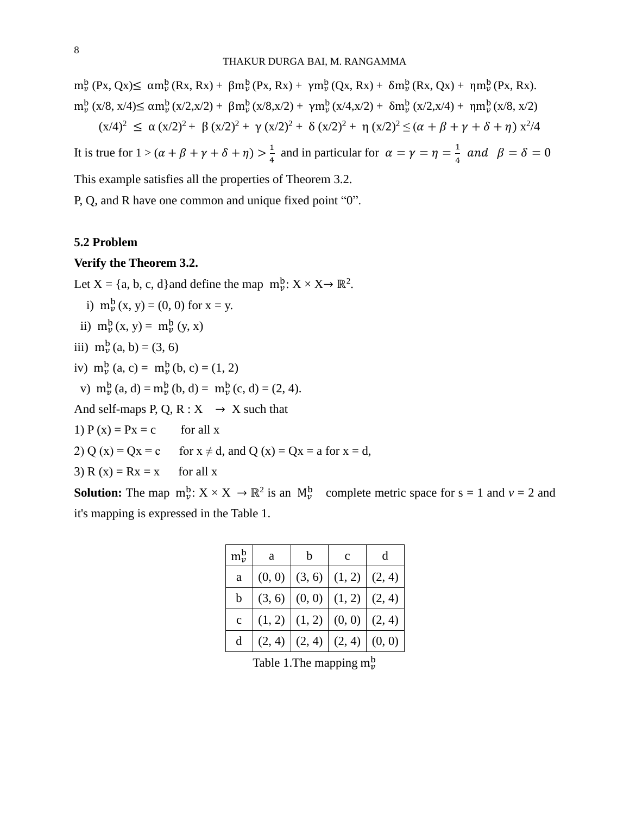$m_{\nu}^{\mathrm{b}}$  (Px, Qx) $\leq \alpha m_{\nu}^{\mathrm{b}}$  (Rx, Rx) +  $\beta m_{\nu}^{\mathrm{b}}$  (Px, Rx) +  $\gamma m_{\nu}^{\mathrm{b}}$  (Qx, Rx) +  $\delta m_{\nu}^{\mathrm{b}}$  (Rx, Qx) +  $\eta m_{\nu}^{\mathrm{b}}$  (Px, Rx).  $m_{\nu}^{b}$  (x/8, x/4)≤ α $m_{\nu}^{b}$ (x/2,x/2) + β $m_{\nu}^{b}$ (x/8,x/2) + γ $m_{\nu}^{b}$ (x/4,x/2) + δ $m_{\nu}^{b}$ (x/2,x/4) + η $m_{\nu}^{b}$ (x/8, x/2)  $(x/4)^2 \le \alpha (x/2)^2 + \beta (x/2)^2 + \gamma (x/2)^2 + \delta (x/2)^2 + \eta (x/2)^2 \le (\alpha + \beta + \gamma + \delta + \eta) x^2/4$ 

It is true for  $1 > (\alpha + \beta + \gamma + \delta + \eta) > \frac{1}{4}$  $\frac{1}{4}$  and in particular for  $\alpha = \gamma = \eta = \frac{1}{4}$  $\frac{1}{4}$  and  $\beta = \delta = 0$ This example satisfies all the properties of Theorem 3.2.

P, Q, and R have one common and unique fixed point "0".

#### **5.2 Problem**

#### **Verify the Theorem 3.2.**

Let  $X = \{a, b, c, d\}$  and define the map  $m_{\nu}^{b}: X \times X \rightarrow \mathbb{R}^{2}$ .

- i)  $m_{v}^{b}(x, y) = (0, 0)$  for  $x = y$ .
- ii)  $m_{\nu}^{b}(x, y) = m_{\nu}^{b}(y, x)$
- iii)  $m_v^b(a, b) = (3, 6)$
- iv)  $m_{\nu}^{b} (a, c) = m_{\nu}^{b} (b, c) = (1, 2)$

v)  $m_{\nu}^{b}(a, d) = m_{\nu}^{b}(b, d) = m_{\nu}^{b}(c, d) = (2, 4).$ 

And self-maps P, Q, R :  $X \rightarrow X$  such that

- 1)  $P(x) = Px = c$  for all x
- 2) Q (x) = Qx = c for  $x \neq d$ , and Q (x) = Qx = a for  $x = d$ ,
- 3)  $R(x) = Rx = x$  for all x

**Solution:** The map  $m_{\nu}^b$ :  $X \times X \to \mathbb{R}^2$  is an  $M_{\nu}^b$  complete metric space for  $s = 1$  and  $\nu = 2$  and it's mapping is expressed in the Table 1.

| $m_{\nu}^{\rm b}$ | a      | h      | $\mathbf{C}$      |        |
|-------------------|--------|--------|-------------------|--------|
| a                 | (0, 0) | (3, 6) | (1, 2)            | (2, 4) |
|                   | (3, 6) | (0, 0) | (1, 2)            | (2, 4) |
| $\ddot{c}$        | (1, 2) |        | $(1, 2)$ $(0, 0)$ | (2, 4) |
|                   | (2, 4) | (2, 4) | (2, 4)            | (0, 0) |

Table 1. The mapping  $m_{\nu}^{b}$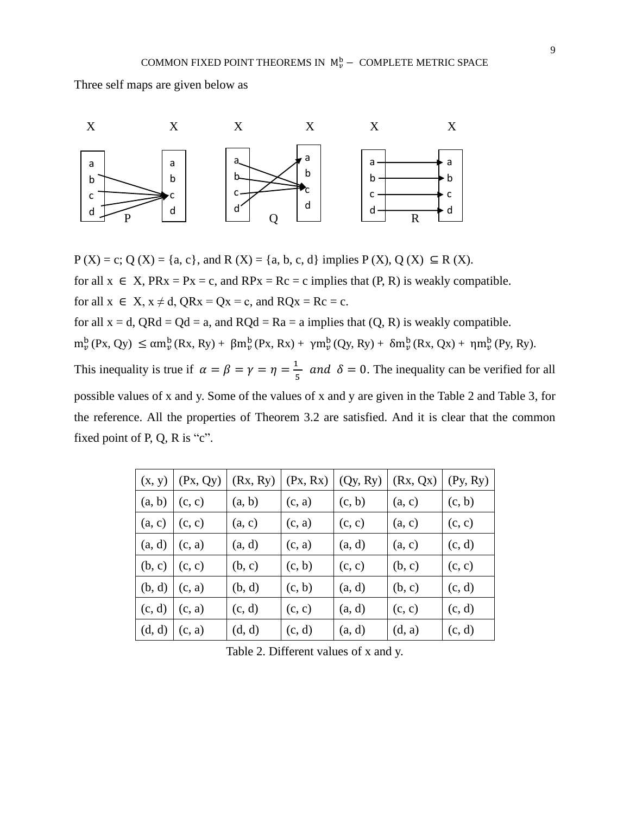Three self maps are given below as



 $P(X) = c$ ; Q (X) = {a, c}, and R (X) = {a, b, c, d} implies  $P(X)$ , Q (X)  $\subseteq$  R (X). for all  $x \in X$ ,  $PRx = Px = c$ , and  $RPx = Rc = c$  implies that  $(P, R)$  is weakly compatible. for all  $x \in X$ ,  $x \neq d$ ,  $QRx = Qx = c$ , and  $RQx = Rc = c$ . for all  $x = d$ ,  $QRd = Qd = a$ , and  $RQd = Ra = a$  implies that  $(Q, R)$  is weakly compatible.  $m_{\nu}^{\mathrm{b}}(\mathrm{Px}, \mathrm{Qy}) \leq \alpha m_{\nu}^{\mathrm{b}}(\mathrm{Rx}, \mathrm{Ry}) + \beta m_{\nu}^{\mathrm{b}}(\mathrm{Px}, \mathrm{Rx}) + \gamma m_{\nu}^{\mathrm{b}}(\mathrm{Qy}, \mathrm{Ry}) + \delta m_{\nu}^{\mathrm{b}}(\mathrm{Rx}, \mathrm{Qx}) + \eta m_{\nu}^{\mathrm{b}}(\mathrm{Py}, \mathrm{Ry}).$ This inequality is true if  $\alpha = \beta = \gamma = \eta = \frac{1}{r}$  $\frac{1}{5}$  and  $\delta = 0$ . The inequality can be verified for all possible values of x and y. Some of the values of x and y are given in the Table 2 and Table 3, for the reference. All the properties of Theorem 3.2 are satisfied. And it is clear that the common fixed point of P, Q, R is "c".

| (x, y) | (Px, Qy) | (Rx, Ry) | (Px, Rx) | (Qy, Ry) | (Rx, Qx) | Py, Ry) |
|--------|----------|----------|----------|----------|----------|---------|
| (a, b) | (c, c)   | (a, b)   | (c, a)   | (c, b)   | (a, c)   | (c, b)  |
| (a, c) | (c, c)   | (a, c)   | (c, a)   | (c, c)   | (a, c)   | (c, c)  |
| (a, d) | (c, a)   | (a, d)   | (c, a)   | (a, d)   | (a, c)   | (c, d)  |
| (b, c) | (c, c)   | (b, c)   | (c, b)   | (c, c)   | (b, c)   | (c, c)  |
| (b, d) | (c, a)   | (b, d)   | (c, b)   | (a, d)   | (b, c)   | (c, d)  |
| (c, d) | (c, a)   | (c, d)   | (c, c)   | (a, d)   | (c, c)   | (c, d)  |
| (d, d) | (c, a)   | (d, d)   | (c, d)   | (a, d)   | (d, a)   | (c, d)  |

Table 2. Different values of x and y.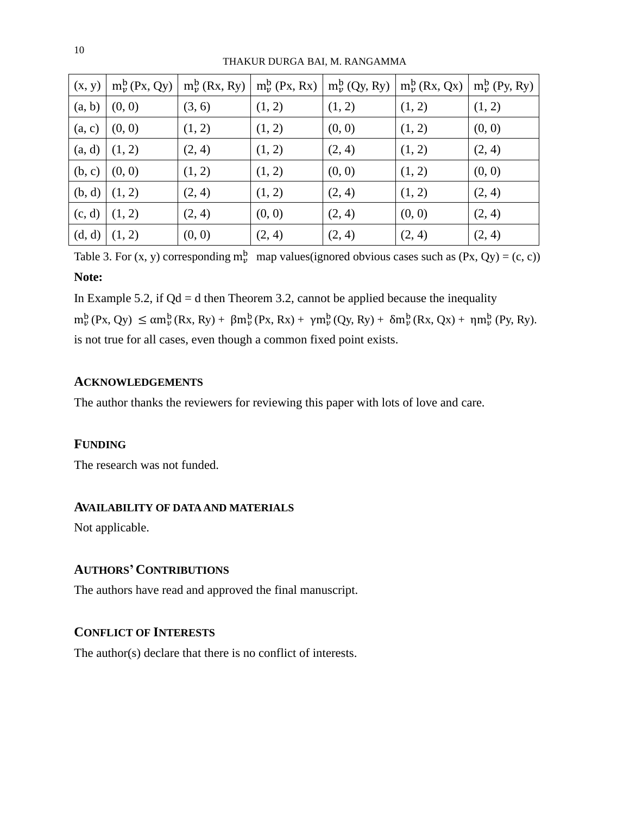| (x, y) | $m_{\nu}^{b}$ (Px, Qy) |        |        | $m_{\nu}^{b}$ (Rx, Ry) $\mid m_{\nu}^{b}$ (Px, Rx) $\mid m_{\nu}^{b}$ (Qy, Ry) $\mid$ | $m_{\nu}^{b}$ (Rx, Qx) | $m_{\nu}^{b}$ (Py, Ry) |
|--------|------------------------|--------|--------|---------------------------------------------------------------------------------------|------------------------|------------------------|
| (a, b) | (0, 0)                 | (3, 6) | (1, 2) | (1, 2)                                                                                | (1, 2)                 | (1, 2)                 |
| (a, c) | (0, 0)                 | (1, 2) | (1, 2) | (0, 0)                                                                                | (1, 2)                 | (0, 0)                 |
| (a, d) | (1, 2)                 | (2, 4) | (1, 2) | (2, 4)                                                                                | (1, 2)                 | (2, 4)                 |
| (b, c) | (0, 0)                 | (1, 2) | (1, 2) | (0, 0)                                                                                | (1, 2)                 | (0, 0)                 |
| (b, d) | (1, 2)                 | (2, 4) | (1, 2) | (2, 4)                                                                                | (1, 2)                 | (2, 4)                 |
| (c, d) | (1, 2)                 | (2, 4) | (0, 0) | (2, 4)                                                                                | (0, 0)                 | (2, 4)                 |
| (d, d) | (1, 2)                 | (0, 0) | (2, 4) | (2, 4)                                                                                | (2, 4)                 | (2, 4)                 |

THAKUR DURGA BAI, M. RANGAMMA

Table 3. For  $(x, y)$  corresponding  $m_v^b$  map values(ignored obvious cases such as  $(Px, Qy) = (c, c)$ ) **Note:**

In Example 5.2, if  $Qd = d$  then Theorem 3.2, cannot be applied because the inequality  $m_{\nu}^{\mathrm{b}}(\mathrm{Px}, \mathrm{Qy}) \leq \alpha m_{\nu}^{\mathrm{b}}(\mathrm{Rx}, \mathrm{Ry}) + \beta m_{\nu}^{\mathrm{b}}(\mathrm{Px}, \mathrm{Rx}) + \gamma m_{\nu}^{\mathrm{b}}(\mathrm{Qy}, \mathrm{Ry}) + \delta m_{\nu}^{\mathrm{b}}(\mathrm{Rx}, \mathrm{Qx}) + \eta m_{\nu}^{\mathrm{b}}(\mathrm{Py}, \mathrm{Ry}).$ is not true for all cases, even though a common fixed point exists.

# **ACKNOWLEDGEMENTS**

The author thanks the reviewers for reviewing this paper with lots of love and care.

# **FUNDING**

The research was not funded.

# **AVAILABILITY OF DATA AND MATERIALS**

Not applicable.

# **AUTHORS'CONTRIBUTIONS**

The authors have read and approved the final manuscript.

# **CONFLICT OF INTERESTS**

The author(s) declare that there is no conflict of interests.